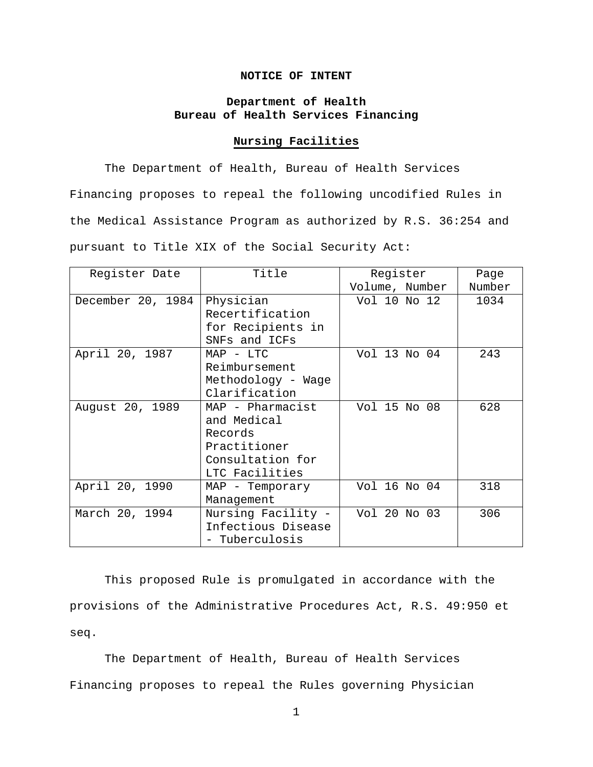# **NOTICE OF INTENT**

# **Department of Health Bureau of Health Services Financing**

# **Nursing Facilities**

The Department of Health, Bureau of Health Services Financing proposes to repeal the following uncodified Rules in the Medical Assistance Program as authorized by R.S. 36:254 and pursuant to Title XIX of the Social Security Act:

| Register Date     | Title              | Register       | Page   |
|-------------------|--------------------|----------------|--------|
|                   |                    | Volume, Number | Number |
| December 20, 1984 | Physician          | Vol 10 No 12   | 1034   |
|                   | Recertification    |                |        |
|                   | for Recipients in  |                |        |
|                   | SNFs and ICFs      |                |        |
| April 20, 1987    | $MAP - LTC$        | Vol 13 No 04   | 243    |
|                   | Reimbursement      |                |        |
|                   | Methodology - Wage |                |        |
|                   | Clarification      |                |        |
| August 20, 1989   | MAP - Pharmacist   | Vol 15 No 08   | 628    |
|                   | and Medical        |                |        |
|                   | Records            |                |        |
|                   | Practitioner       |                |        |
|                   | Consultation for   |                |        |
|                   | LTC Facilities     |                |        |
| April 20, 1990    | MAP - Temporary    | Vol 16 No 04   | 318    |
|                   | Management         |                |        |
| March 20, 1994    | Nursing Facility - | Vol 20 No 03   | 306    |
|                   | Infectious Disease |                |        |
|                   | - Tuberculosis     |                |        |

This proposed Rule is promulgated in accordance with the provisions of the Administrative Procedures Act, R.S. 49:950 et seq.

The Department of Health, Bureau of Health Services Financing proposes to repeal the Rules governing Physician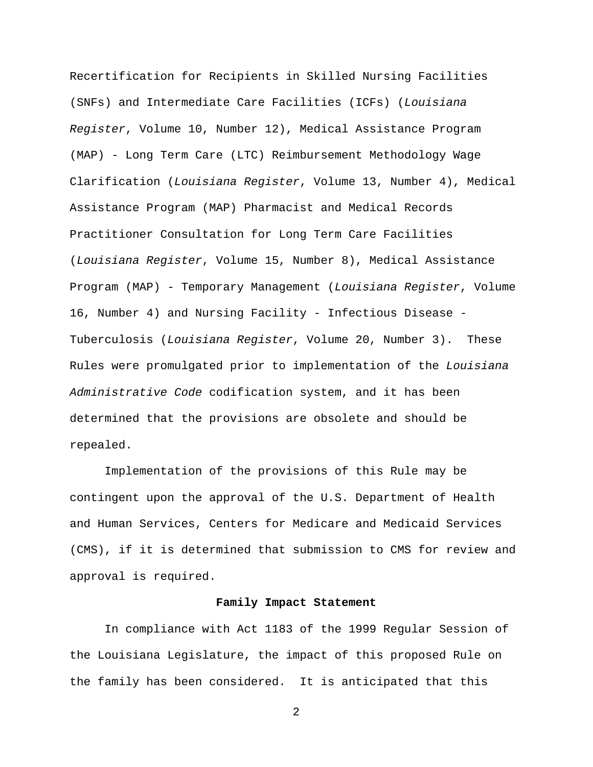Recertification for Recipients in Skilled Nursing Facilities (SNFs) and Intermediate Care Facilities (ICFs) (*Louisiana Register*, Volume 10, Number 12), Medical Assistance Program (MAP) - Long Term Care (LTC) Reimbursement Methodology Wage Clarification (*Louisiana Register*, Volume 13, Number 4), Medical Assistance Program (MAP) Pharmacist and Medical Records Practitioner Consultation for Long Term Care Facilities (*Louisiana Register*, Volume 15, Number 8), Medical Assistance Program (MAP) - Temporary Management (*Louisiana Register*, Volume 16, Number 4) and Nursing Facility - Infectious Disease - Tuberculosis (*Louisiana Register*, Volume 20, Number 3). These Rules were promulgated prior to implementation of the *Louisiana Administrative Code* codification system, and it has been determined that the provisions are obsolete and should be repealed.

Implementation of the provisions of this Rule may be contingent upon the approval of the U.S. Department of Health and Human Services, Centers for Medicare and Medicaid Services (CMS), if it is determined that submission to CMS for review and approval is required.

## **Family Impact Statement**

In compliance with Act 1183 of the 1999 Regular Session of the Louisiana Legislature, the impact of this proposed Rule on the family has been considered. It is anticipated that this

2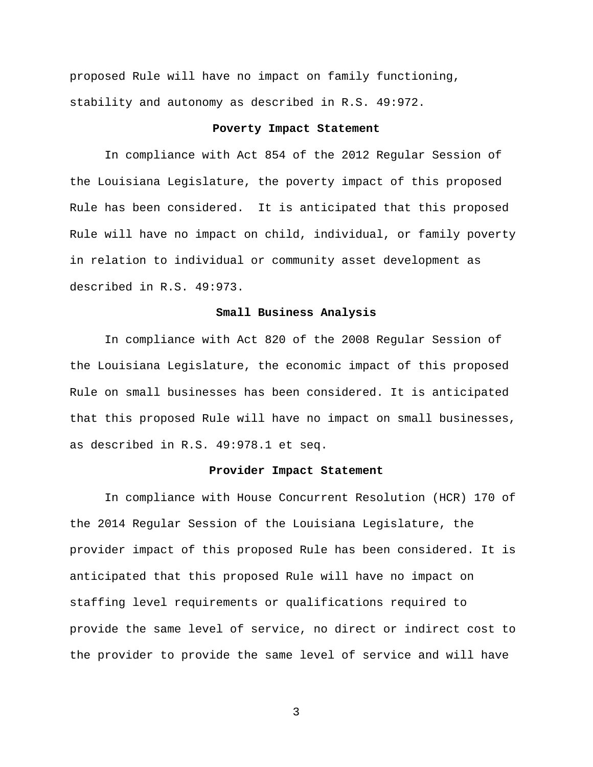proposed Rule will have no impact on family functioning, stability and autonomy as described in R.S. 49:972.

## **Poverty Impact Statement**

In compliance with Act 854 of the 2012 Regular Session of the Louisiana Legislature, the poverty impact of this proposed Rule has been considered. It is anticipated that this proposed Rule will have no impact on child, individual, or family poverty in relation to individual or community asset development as described in R.S. 49:973.

#### **Small Business Analysis**

In compliance with Act 820 of the 2008 Regular Session of the Louisiana Legislature, the economic impact of this proposed Rule on small businesses has been considered. It is anticipated that this proposed Rule will have no impact on small businesses, as described in R.S. 49:978.1 et seq.

#### **Provider Impact Statement**

In compliance with House Concurrent Resolution (HCR) 170 of the 2014 Regular Session of the Louisiana Legislature, the provider impact of this proposed Rule has been considered. It is anticipated that this proposed Rule will have no impact on staffing level requirements or qualifications required to provide the same level of service, no direct or indirect cost to the provider to provide the same level of service and will have

3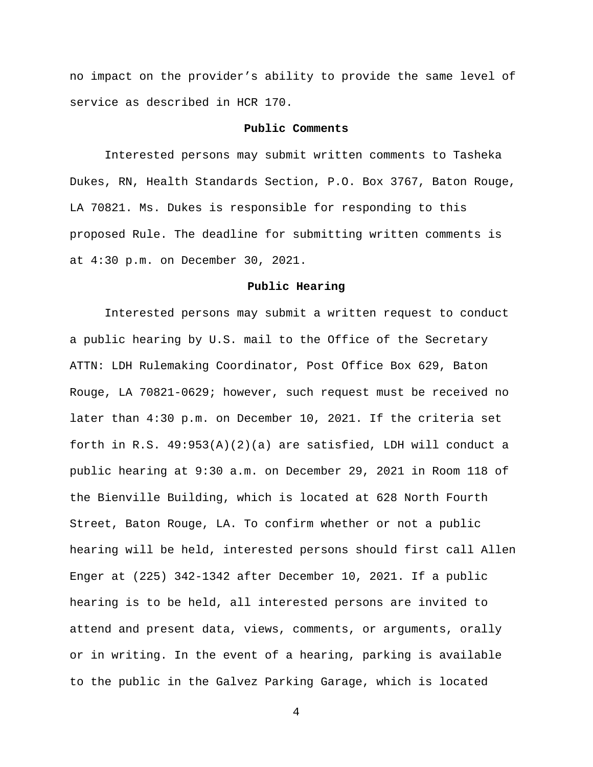no impact on the provider's ability to provide the same level of service as described in HCR 170.

## **Public Comments**

Interested persons may submit written comments to Tasheka Dukes, RN, Health Standards Section, P.O. Box 3767, Baton Rouge, LA 70821. Ms. Dukes is responsible for responding to this proposed Rule. The deadline for submitting written comments is at 4:30 p.m. on December 30, 2021.

## **Public Hearing**

Interested persons may submit a written request to conduct a public hearing by U.S. mail to the Office of the Secretary ATTN: LDH Rulemaking Coordinator, Post Office Box 629, Baton Rouge, LA 70821-0629; however, such request must be received no later than 4:30 p.m. on December 10, 2021. If the criteria set forth in R.S. 49:953(A)(2)(a) are satisfied, LDH will conduct a public hearing at 9:30 a.m. on December 29, 2021 in Room 118 of the Bienville Building, which is located at 628 North Fourth Street, Baton Rouge, LA. To confirm whether or not a public hearing will be held, interested persons should first call Allen Enger at (225) 342-1342 after December 10, 2021. If a public hearing is to be held, all interested persons are invited to attend and present data, views, comments, or arguments, orally or in writing. In the event of a hearing, parking is available to the public in the Galvez Parking Garage, which is located

4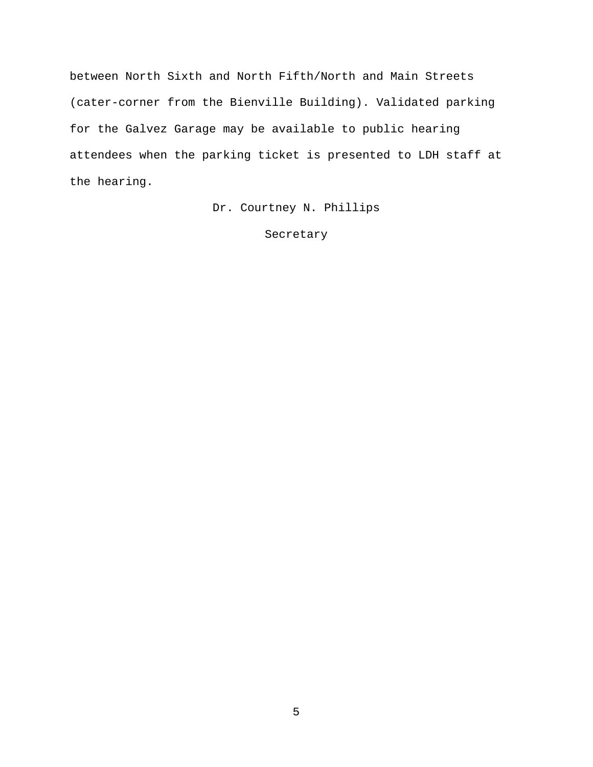between North Sixth and North Fifth/North and Main Streets (cater-corner from the Bienville Building). Validated parking for the Galvez Garage may be available to public hearing attendees when the parking ticket is presented to LDH staff at the hearing.

Dr. Courtney N. Phillips

Secretary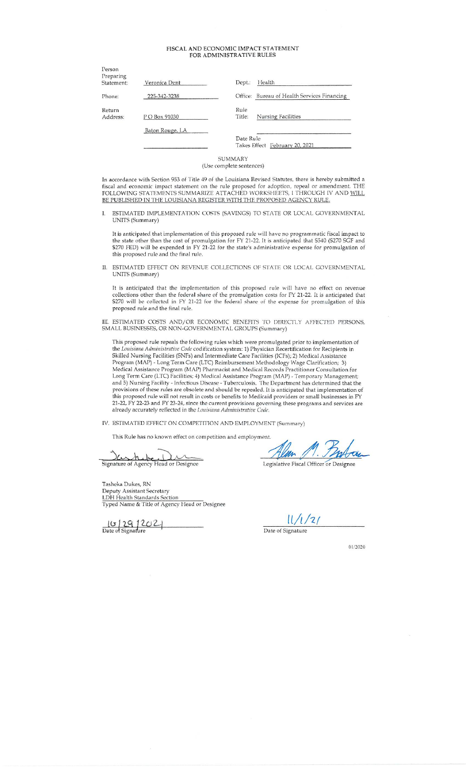#### FISCAL AND ECONOMIC IMPACT STATEMENT FOR ADMINISTRATIVE RULES

| Person<br>Preparing |                 |                                |                                             |
|---------------------|-----------------|--------------------------------|---------------------------------------------|
| Statement:          | Veronica Dent   | Health<br>Dept.:               |                                             |
| Phone:              | 225-342-3238    |                                | Office: Bureau of Health Services Financing |
| Return<br>Address:  | P O Box 91030   | Rule<br>Title:                 | <b>Nursing Facilities</b>                   |
|                     | Baton Rouge, LA | Date Rule                      |                                             |
|                     |                 | Takes Effect February 20, 2021 |                                             |

SUMMARY (Use complete sentences)

In accordance with Section 953 of Title 49 of the Louisiana Revised Statutes, there is hereby submitted a fiscal and economic impact statement on the rule proposed for adoption, repeal or amendment. THE FOLLOWING STATEMENTS SUMMARIZE ATTACHED WORKSHEETS, I THROUGH IV AND WILL BE PUBLISHED IN THE LOUISIANA REGISTER WITH THE PROPOSED AGENCY RULE.

ESTIMATED IMPLEMENTATION COSTS (SAVINGS) TO STATE OR LOCAL GOVERNMENTAL I. UNITS (Summary)

It is anticipated that implementation of this proposed rule will have no programmatic fiscal impact to the state other than the cost of promulgation for FY 21-22. It is anticipated that S540 (S270 SGF and \$270 FED) will be expended in FY 21-22 for the state's administrative expense for promulgation of this proposed rule and the final rule.

II. ESTIMATED EFFECT ON REVENUE COLLECTIONS OF STATE OR LOCAL GOVERNMENTAL UNITS (Summary)

It is anticipated that the implementation of this proposed rule will have no effect on revenue collections other than the federal share of the promulgation costs for FY 21-22. It is anticipated that \$270 will be collected in FY 21-22 for the federal share of the expense for promulgation of this proposed rule and the final rule.

III. ESTIMATED COSTS AND/OR ECONOMIC BENEFITS TO DIRECTLY AFFECTED PERSONS, SMALL BUSINESSES, OR NON-GOVERNMENTAL GROUPS (Summary)

This proposed rule repeals the following rules which were promulgated prior to implementation of the *Louisiana Administrative Code* codification system: 1) Physician Recertification for Recipients in Skilled Nursing Facil Share Youxsing Pacification; 3) and EV32 and Interluence Care Facturies (CIT) Sectional Assistance Program (MAP) - Long Term Care (LTC) Reimbursement Methodology Wage Clarification; 3)<br>Medical Assistance Program (MAP) Phar 21-22, FY 22-23 and FY 23-24, since the current provisions governing these programs and services are already accurately reflected in the *Louisiana Administrative Code*.

IV. ESTIMATED EFFECT ON COMPETITION AND EMPLOYMENT (Summary)

This Rule has no known effect on competition and employment.

Signature of Agency Head or Designee

Tasheka Dukes, RN Deputy Assistant Secretary<br>LDH Health Standards Section<br>Typed Name & Title of Agency Head or Designee

 $\frac{10}{29}$  29 202

Legislative Fiscal Officer or Designee

 $11/1/21$ 

Date of Signature

01/2020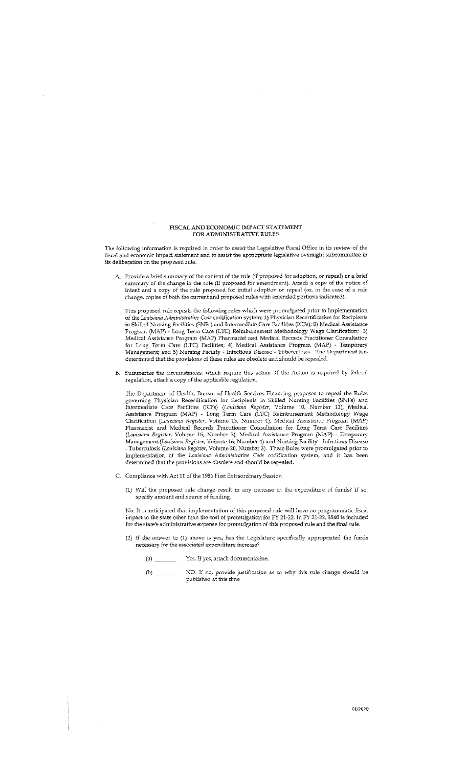#### FISCAL AND ECONOMIC IMPACT STATEMENT FOR ADMINISTRATIVE RULES

The following information is required in order to assist the Legislative Fiscal Office in its review of the fiscal and economic impact statement and to assist the appropriate legislative oversight subcommittee in its deliberation on the proposed rule.

A. Provide a brief summary of the content of the rule (if proposed for adoption, or repeal) or a brief summary of the change in the rule (if proposed for amendment). Attach a copy of the notice of intent and a copy of the rule proposed for initial adoption or repeal (or, in the case of a rule change, copies of both the current and proposed rules with amended portions indicated).

This proposed rule repeals the following rules which were promulgated prior to implementation<br>of the Louisiana Administrative Code codification system: 1) Physician Recertification for Recipients in Skilled Nursing Facilities (SNFs) and Intermediate Care Facilities (ICFs); 2) Medical Assistance Program (MAP) - Long Term Care (LTC) Reimbursement Methodology Wage Clarification; 3) Medical Assistance Program (MAP) Pha for Long Term Care (LTC) Facilities; 4) Medical Assistance Program (MAP) - Temporary<br>Management; and 5) Nursing Facility - Infectious Disease - Tuberculosis. The Department has determined that the provisions of these rules are obsolete and should be repealed.

B. Summarize the circumstances, which require this action. If the Action is required by federal regulation, attach a copy of the applicable regulation.

The Department of Health, Bureau of Health Services Financing proposes to repeal the Rules<br>governing Physician Recertification for Recipients in Skilled Nursing Facilities (SNFs) and<br>Intermediate Care Facilities (ICFs) (Lo (Louisiana Register, Volume 15, Number 8), Medical Assistance Program (MAP) - Temporary<br>(Louisiana Register, Volume 15, Number 8), Medical Assistance Program (MAP) - Temporary<br>Management (Louisiana Register, Volume 16, Num determined that the provisions are obsolete and should be repealed.

- C. Compliance with Act 11 of the 1986 First Extraordinary Session
	- (1) Will the proposed rule change result in any increase in the expenditure of funds? If so, specify amount and source of funding.

No. It is anticipated that implementation of this proposed rule will have no programmatic fiscal impact to the state other than the cost of promulgation for FY 21-22. In FY 21-22, \$540 is included for the state's administrative expense for promulgation of this proposed rule and the final rule.

- (2) If the answer to (1) above is yes, has the Legislature specifically appropriated the funds necessary for the associated expenditure increase?
	- Yes. If yes, attach documentation.
	- NO. If no, provide justification as to why this rule change should be published at this time  $\,$  $(b)$   $-$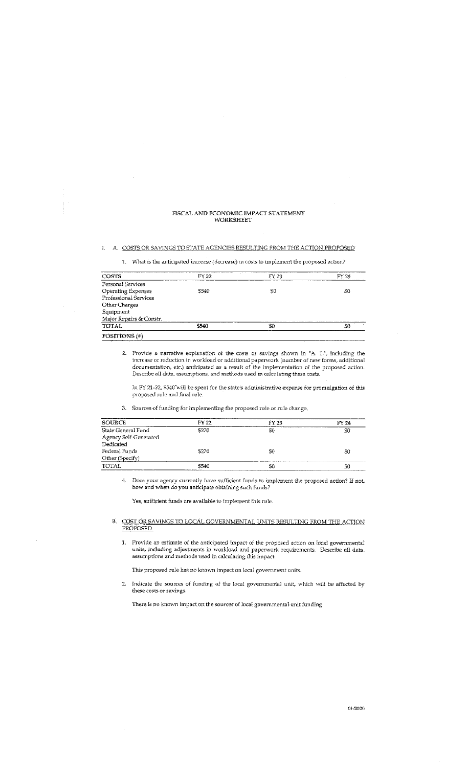#### FISCAL AND ECONOMIC IMPACT STATEMENT WORKSHEET

#### I. A. COSTS OR SAVINGS TO STATE AGENCIES RESULTING FROM THE ACTION PROPOSED

1. What is the anticipated increase (decrease) in costs to implement the proposed action?

| POSITIONS (#)             |       |       |       |
|---------------------------|-------|-------|-------|
| <b>TOTAL</b>              | \$540 | \$0   | 50    |
| Major Repairs & Constr.   |       |       |       |
| Equipment                 |       |       |       |
| Other Charges             |       |       |       |
| Professional Services     |       |       |       |
| <b>Operating Expenses</b> | \$540 | 50    | 50    |
| Personal Services         |       |       |       |
| COSTS                     | FY 22 | FY 23 | FY 24 |

2. Provide a narrative explanation of the costs or savings shown in "A. 1.", including the increase or reduction in workload or additional paperwork (number of new forms, additional documentation, etc.) anticipated as a result of the implementation of the proposed action. Describe all data, assumptions, and meth

In FY 21-22,  $\$540$  will be spent for the state's administrative expense for promulgation of this proposed rule and final rule.

3. Sources of funding for implementing the proposed rule or rule change.

| <b>SOURCE</b>                               | FY 22 | $FY$ 23 | FY 24 |
|---------------------------------------------|-------|---------|-------|
| State General Fund<br>Agency Self-Generated | \$270 | S0      | SO    |
| Dedicated                                   |       |         |       |
| Federal Funds                               | \$270 | S0      | \$0   |
| Other (Specify)                             |       |         |       |
| TOTAL                                       | \$540 | SO      | \$0   |

 $\ddot{q}$ Does your agency currently have sufficient funds to implement the proposed action? If not, how and when do you anticipate obtaining such funds?

Yes, sufficient funds are available to implement this rule.

B. COST OR SAVINGS TO LOCAL GOVERNMENTAL UNITS RESULTING FROM THE ACTION PROPOSED.

1. Provide an estimate of the anticipated impact of the proposed action on local governmental units, including adjustments in workload and paperwork requirements. Describe all data, assumptions and methods used in calculating this impact.

This proposed rule has no known impact on local government units.

Indicate the sources of funding of the local governmental unit, which will be affected by  $\mathbf{2}^{\top}$ these costs or savings.

There is no known impact on the sources of local governmental unit funding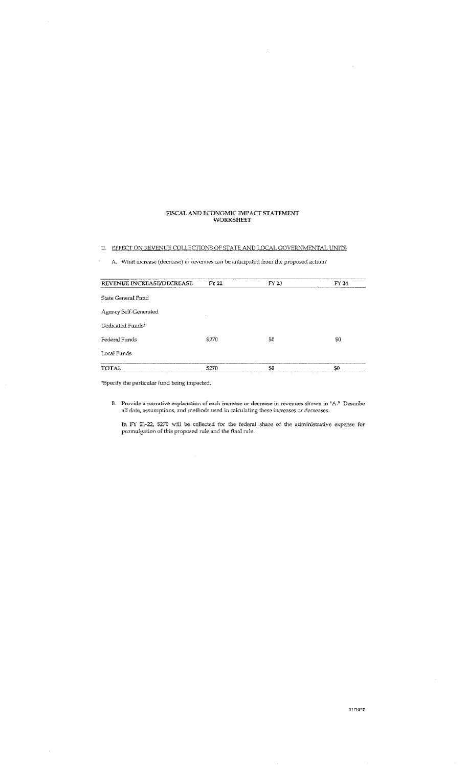# FISCAL AND ECONOMIC IMPACT STATEMENT WORKSHEET

II. EFFECT ON REVENUE COLLECTIONS OF STATE AND LOCAL GOVERNMENTAL UNITS

A. What increase (decrease) in revenues can be anticipated from the proposed action?

| REVENUE INCREASE/DECREASE | FY 22 | FY 23 | FY 24 |
|---------------------------|-------|-------|-------|
| State General Fund        |       |       |       |
| Agency Self-Generated     |       |       |       |
| Dedicated Funds*          |       |       |       |
| Federal Funds             | \$270 | S0    | S0    |
| Local Funds               |       |       |       |
| TOTAL                     | \$270 | \$0   | \$0   |

\*Specify the particular fund being impacted.

 $\overline{\phantom{a}}$ 

 $\bar{\lambda}$ 

 $\hat{\mathcal{A}}$ 

B. Provide a narrative explanation of each increase or decrease in revenues shown in  $A$ . Describe all data, assumptions, and methods used in calculating these increases or decreases.

In FY 21-22,  $$270$  will be collected for the federal share of the administrative expense for promulgation of this proposed rule and the final rule.